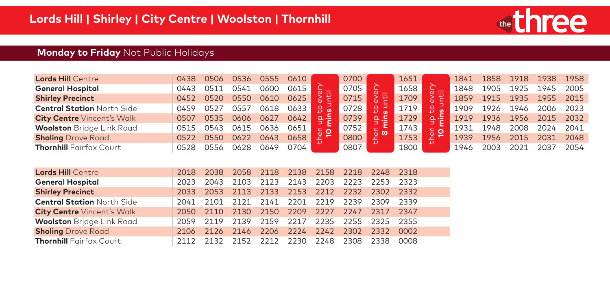

# **Monday to Friday** Not Public Holidays

| <b>Lords Hill Centre</b>          | 0438 | 0506 | 0536 | 0555 | 0610 |   | 0700 |     | 1651 | 1841 | 1858 | 1918 | 1938      | 1958      |
|-----------------------------------|------|------|------|------|------|---|------|-----|------|------|------|------|-----------|-----------|
| <b>General Hospital</b>           | 0443 | วร1  | ገ541 | ገሪበር | 0615 |   | 0705 |     | 1658 | 1848 | 1905 | 1925 | 1945      | 2005      |
| <b>Shirley Precinct</b>           | 0452 | 0520 | 0550 | 0610 | 0625 |   | 0715 |     | 1709 | 1859 | 1915 | 1935 |           | 1955 2015 |
| <b>Central Station North Side</b> | 0459 | 0527 | 0557 | 0618 | 0633 |   | 0728 | ° 5 | 1719 | 1909 | 1926 | 1946 | 2006      | 2023      |
| <b>City Centre Vincent's Walk</b> | 0507 | 0535 | 0606 | 0627 | 0642 | . | 0739 |     | 1729 | 1919 | 1936 | 1956 | 2015 2032 |           |
| <b>Woolston</b> Bridge Link Road  | 0515 | 0543 | ገ615 |      |      |   | 0752 |     | 1743 | 1931 | 1948 | 2008 | 2024      | 2041      |
| <b>Sholing</b> Drove Road         | 0522 | 0550 | 0622 | 0643 |      |   | 0800 | ⊕ ∞ | 1753 | 1939 | 1956 | 2015 | 2031      | 2048      |
| <b>Thornhill Fairfax Court</b>    | 0528 | 0556 |      | ነ649 | 0704 |   | 0807 | ↵   | 1800 | 1946 |      |      | วกว       | 2054      |

| <b>Lords Hill Centre</b>          |  | 2018 2038 2058 2118 2138 2158 2218 2248 2318 |  |  |      |
|-----------------------------------|--|----------------------------------------------|--|--|------|
| <b>General Hospital</b>           |  | 2023 2043 2103 2123 2143 2203 2223 2253 2323 |  |  |      |
| <b>Shirley Precinct</b>           |  | 2033 2053 2113 2133 2153 2212 2232 2302 2332 |  |  |      |
| <b>Central Station North Side</b> |  | 2041 2101 2121 2141 2201 2219 2239 2309 2339 |  |  |      |
| <b>City Centre Vincent's Walk</b> |  | 2050 2110 2130 2150 2209 2227 2247 2317 2347 |  |  |      |
| <b>Woolston</b> Bridge Link Road  |  | 2059 2119 2139 2159 2217 2235 2255 2325 2355 |  |  |      |
| <b>Sholing</b> Drove Road         |  | 2106 2126 2146 2206 2224 2242 2302 2332 0002 |  |  |      |
| <b>Thornhill Fairfax Court</b>    |  | 2112 2132 2152 2212 2230 2248 2308 2338      |  |  | 0008 |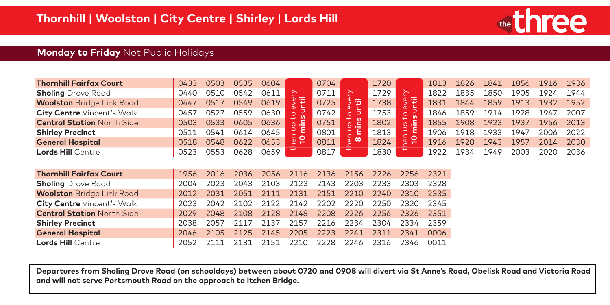

#### **Monday to Friday** Not Public Holidays

| <b>Thornhill Fairfax Court</b>                                                                                                                | 0433 | 0503 | 0535 | 0604 |                | 0704 |                                    | 1720 |                               | 1813 | 1826 | 1841 | 1856 | 1916 | 1936 |
|-----------------------------------------------------------------------------------------------------------------------------------------------|------|------|------|------|----------------|------|------------------------------------|------|-------------------------------|------|------|------|------|------|------|
| <b>Sholing</b> Drove Road                                                                                                                     | 0440 | 0510 | 0542 | 0611 | ≿              | 0711 | 준                                  | 1729 | 슨                             | 1822 | 1835 | 1850 | 1905 | 1924 | 1944 |
| <b>Woolston</b> Bridge Link Road                                                                                                              | 0447 | 0517 | 0549 | 0619 | 同<br>(I)       | 0725 | $\zeta$<br>量<br>c                  | 1738 | 同<br>$\omega$<br>⋝<br>Ōυ      | 1831 | 1844 | 1859 | 1913 | 1932 | 1952 |
| <b>City Centre Vincent's Walk</b>                                                                                                             | 0457 | 0527 | 0559 | 0630 | $\circ$<br>ທ   | 0742 | Φ<br>∍<br>$\circ$                  | 1753 | Ō<br><b>S</b>                 | 1846 | 1859 | 1914 | 1928 | 1947 | 2007 |
| <b>Central Station North Side</b>                                                                                                             | 0503 | 0533 | 0605 | 0636 | lg<br>$\Omega$ | 0751 | ₽<br>$\mathbf{u}$<br>c<br>$\Omega$ | 1802 | Ū.<br>⊇. ے                    | 1855 | 1908 | 1923 | 1937 | 1956 | 2013 |
| <b>Shirley Precinct</b>                                                                                                                       | 0511 | 0541 | 0614 | 0645 | ε<br>⊃         | 0801 | C.<br>c                            | 1813 | ⊃<br>$\overline{\phantom{0}}$ | 1906 | 1918 | 1933 | 1947 | 2006 | 2022 |
| <b>General Hospital</b>                                                                                                                       | 0518 | 0548 | 0622 | 0653 |                | 0811 | $\omega$ $\omega$<br>₽             | 1824 | then<br>10                    | 1916 | 1928 | 1943 | 1957 | 2014 | 2030 |
| <b>Lords Hill Centre</b>                                                                                                                      | 0523 | 0553 | 0628 | 0659 |                | 0817 |                                    | 1830 |                               | 1922 | 1934 | 1949 | 2003 | 2020 | 2036 |
|                                                                                                                                               |      |      |      |      |                |      |                                    |      |                               |      |      |      |      |      |      |
| <b>Thornhill Fairfax Court</b>                                                                                                                | 1956 | 2016 | 2036 | 2056 | 2116           | 2136 | 2156                               | 2226 | 2256                          | 2321 |      |      |      |      |      |
| <b>Sholing</b> Drove Road                                                                                                                     | 2004 | 2023 | 2043 | 2103 | 2123           | 2143 | 2203                               | 2233 | 2303                          | 2328 |      |      |      |      |      |
| <b>Woolston</b> Bridge Link Road                                                                                                              | 2012 | 2031 | 2051 | 2111 | 2131           | 2151 | 2210                               | 2240 | 2310                          | 2335 |      |      |      |      |      |
| <b>City Centre</b> Vincent's Walk                                                                                                             | 2023 | 2042 | 2102 | 2122 | 2142           | 2202 | 2220                               | 2250 | 2320                          | 2345 |      |      |      |      |      |
| <b>Central Station North Side</b>                                                                                                             | 2029 | 2048 | 2108 | 2128 | 2148           | 2208 | 2226                               | 2256 | 2326                          | 2351 |      |      |      |      |      |
| <b>Shirley Precinct</b>                                                                                                                       | 2038 | 2057 | 2117 | 2137 | 2157           | 2216 | 2234                               | 2304 | 2334                          | 2359 |      |      |      |      |      |
| <b>General Hospital</b>                                                                                                                       | 2046 | 2105 | 2125 | 2145 | 2205           | 2223 | 2241                               | 2311 | 2341                          | 0006 |      |      |      |      |      |
| <b>Lords Hill Centre</b>                                                                                                                      | 2052 | 2111 | 2131 | 2151 | 2210           | 2228 | 2246                               | 2316 | 2346                          | 0011 |      |      |      |      |      |
|                                                                                                                                               |      |      |      |      |                |      |                                    |      |                               |      |      |      |      |      |      |
|                                                                                                                                               |      |      |      |      |                |      |                                    |      |                               |      |      |      |      |      |      |
| Departures from Sholing Drove Road (on schooldays) between about 0720 and 0908 will divert via St Anne's Road, Obelisk Road and Victoria Road |      |      |      |      |                |      |                                    |      |                               |      |      |      |      |      |      |
| and will not serve Portsmouth Road on the approach to Itchen Bridge.                                                                          |      |      |      |      |                |      |                                    |      |                               |      |      |      |      |      |      |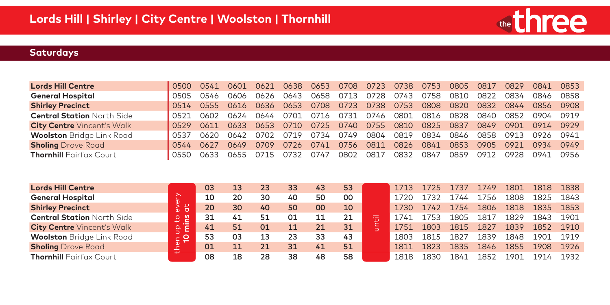

| <b>Lords Hill Centre</b>          | 0500  | 0541  | 0601  | 0621 | 0638  | 0653 | 0708 | 0723 | 0738 | 0753 | 0805 | 0817 | 0829 | 0841        | 0853 |
|-----------------------------------|-------|-------|-------|------|-------|------|------|------|------|------|------|------|------|-------------|------|
| <b>General Hospital</b>           | 0505  | 0546  | 0606  | 0626 | 0643  | 0658 | 0713 | 0728 | 0743 | 0758 | 0810 | 0822 | 0834 | 0846        | 0858 |
| <b>Shirley Precinct</b>           | 0514  | 0555  | 0616  | 0636 | 0653  | 0708 | 0723 | 0738 | 0753 | 0808 | 0820 | 0832 | 0844 | 0856        | 0908 |
| <b>Central Station North Side</b> | 0521  | 0602  | 0624  | 0644 | 0701  | 0716 | 0731 | 0746 | 0801 | 0816 | 0828 | 0840 | 0852 | 0904        | 0919 |
| <b>City Centre Vincent's Walk</b> | 0529  | 0611  | 0633  | 0653 | 0710  | 0725 | 0740 | 0755 | 0810 | 0825 | 0837 | 0849 | 0901 | 0914        | 0929 |
| <b>Woolston</b> Bridge Link Road  | 0537  | 0620  | 0642  | 0702 | 0719  | 0734 | 0749 | 0804 | 0819 | 0834 | 0846 | 0858 | 0913 | 0926        | 0941 |
| <b>Sholing</b> Drove Road         | 0544  | 0627  | 0649  | 0709 | 0726  | 0741 | 0756 | 0811 | 0826 | 0841 | 0853 | 0905 | 0921 | <b>0934</b> | 0949 |
| <b>Thornhill Fairfax Court</b>    | 0550. | 7633. | 0655. | 0715 | ุก732 | 0747 | 0802 | 0817 | 0832 | 0847 | 0859 | N912 | 7928 | 0941        | 0956 |
|                                   |       |       |       |      |       |      |      |      |      |      |      |      |      |             |      |

| <b>Lords Hill Centre</b>          |             | 03 | 13 | 23 | 33 | 43 | 53 |   | 1713 | 1725 | 1737  | 1749 | 1801 | 1818 | 1838 |
|-----------------------------------|-------------|----|----|----|----|----|----|---|------|------|-------|------|------|------|------|
| <b>General Hospital</b>           | ∼           | 10 | 20 | 30 | 40 | 50 | 00 |   | '720 | 732  | ' 744 | 756  | 1808 | 1825 | 1843 |
| <b>Shirley Precinct</b>           | $rac{5}{6}$ | 20 | 30 | 40 | 50 | ΩO | 10 |   | 1730 | 1742 | 1754  | 1806 | 1818 | 1835 | 1853 |
| <b>Central Station North Side</b> | ு<br>2      | 31 | 41 | 51 | 01 |    |    | 击 | 741  | 1753 | 1805  | 1817 | 1829 | 1843 | 1901 |
| <b>City Centre Vincent's Walk</b> | । ਦਾ ਬ      | 41 | 51 | 01 | 11 |    | 31 |   | L751 | 1803 | 1815  | 1827 | 1839 | 1852 | 1910 |
| <b>Woolston</b> Bridge Link Road  | ္မ <b>၁</b> | 53 | 03 | 13 | 23 | 33 | 43 |   | 1803 | 1815 | 1827  | 1839 | 1848 | 1901 | 1919 |
| <b>Sholing</b> Drove Road         | 圡           | 01 |    | 21 | 31 | 41 | 51 |   | 1811 | 1823 | 1835  | 1846 | 1855 | 1908 | 1926 |
| <b>Thornhill</b> Fairfax Court    |             | 08 | 18 | 28 | 38 | 48 | 58 |   | 1818 | 1830 | 1841  | 1852 | 901  | 191  | 1932 |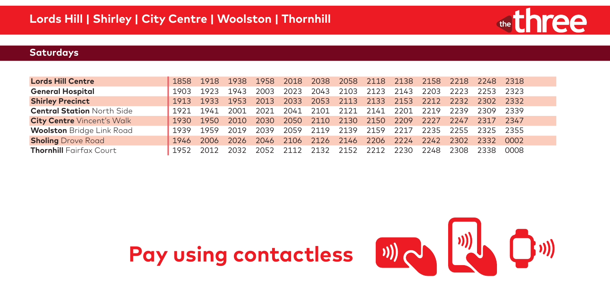

| <b>Lords Hill Centre</b>          |      | 1858 1918 1938 |      | 1958   | 2018   |      |                          |      |      |      | 2038 2058 2118 2138 2158 2218 2248 2318      |      |      |
|-----------------------------------|------|----------------|------|--------|--------|------|--------------------------|------|------|------|----------------------------------------------|------|------|
| <b>General Hospital</b>           | 1903 | 1923           | 1943 | 2003   | 2023   |      | 2043 2103 2123 2143 2203 |      |      |      | 2223 2253 2323                               |      |      |
| <b>Shirley Precinct</b>           | 1913 | 1933 1953      |      | 2013   |        |      |                          |      |      |      | 2033 2053 2113 2133 2153 2212 2232 2302 2332 |      |      |
| <b>Central Station North Side</b> | 1921 | 1941           | 2001 | 2021   | 2041   |      | 2101 2121 2141 2201      |      |      | 2219 | 2239                                         | 2309 | 2339 |
| <b>City Centre Vincent's Walk</b> |      | 1930 1950 2010 |      | - 2030 | - 2050 |      | 2110 2130 2150           |      | 2209 |      | 2227 2247 2317 2347                          |      |      |
| <b>Woolston</b> Bridge Link Road  | 1939 | 1959           | 2019 | 2039   | 2059   |      |                          |      |      |      | 2119 2139 2159 2217 2235 2255 2325 2355      |      |      |
| <b>Sholing</b> Drove Road         |      | 1946 2006      | 2026 | 2046   |        |      |                          |      |      |      | 2106 2126 2146 2206 2224 2242 2302 2332      |      | 0002 |
| <b>Thornhill</b> Fairfax Court    | 1952 | 2012           | 2032 | 2052   | 2112   | 2132 | 2152                     | 2212 | 2230 | 2248 | 2308                                         | 2338 | 0008 |



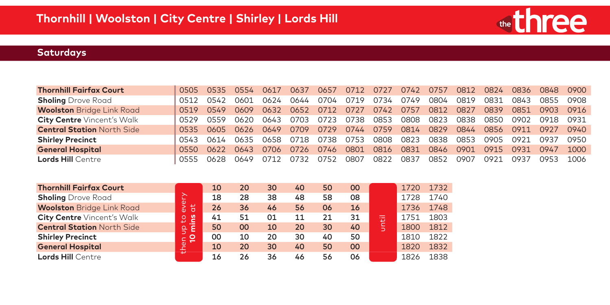

| <b>Thornhill Fairfax Court</b><br>0554 0617<br>0824<br>0836<br>0505 0535<br>0637<br>0812<br>0900<br>0712<br>0727<br>0742<br>0848<br>0757<br>0657<br><b>Sholing</b> Drove Road<br>0624<br>0734<br>0749<br>0819<br>0831<br>0843<br>0542<br>0644<br>0704<br>0719<br>0804<br>0855<br>0908<br>0601<br>0512<br><b>Woolston</b> Bridge Link Road<br>0742<br>0632<br>0652<br>0712<br>0727<br>0757<br>0812<br>0827<br>0839<br>0549<br>0851<br>0519<br>0609<br>0903<br>0916<br><b>City Centre Vincent's Walk</b><br>0723<br>0738<br>0853<br>0808<br>0823<br>0838<br>0850<br>0559<br>0703<br>0902<br>0620<br>0643<br>0918<br>0931<br>0529<br><b>Central Station North Side</b><br>0759<br>0829<br>0744<br>0814<br>0844<br>0856<br>0709<br>0729<br>0911<br>0535<br>0605<br>0626<br>0649<br>0940<br>0927<br>0823<br>0738<br>0753<br>0808<br><b>Shirley Precinct</b><br>0658<br>0718<br>0838<br>0853<br>0635<br>0905<br>0921<br>0937<br>0614<br>0543<br><b>General Hospital</b><br>0831<br>0622<br>0801<br>0816<br>0846<br>0901<br>0706<br>0726<br>0915<br>0931<br>0746<br>0947<br>1000<br>0643<br>0550<br><b>Lords Hill Centre</b><br>0822<br>0837<br>0852<br>0628<br>0752<br>0807<br>በ921<br>0712<br>0732<br>0907<br>N937<br>1006<br>0953<br>0649<br>0555 |  |  |  |  |  |  |  |      |
|-----------------------------------------------------------------------------------------------------------------------------------------------------------------------------------------------------------------------------------------------------------------------------------------------------------------------------------------------------------------------------------------------------------------------------------------------------------------------------------------------------------------------------------------------------------------------------------------------------------------------------------------------------------------------------------------------------------------------------------------------------------------------------------------------------------------------------------------------------------------------------------------------------------------------------------------------------------------------------------------------------------------------------------------------------------------------------------------------------------------------------------------------------------------------------------------------------------------------------------------------|--|--|--|--|--|--|--|------|
|                                                                                                                                                                                                                                                                                                                                                                                                                                                                                                                                                                                                                                                                                                                                                                                                                                                                                                                                                                                                                                                                                                                                                                                                                                               |  |  |  |  |  |  |  |      |
|                                                                                                                                                                                                                                                                                                                                                                                                                                                                                                                                                                                                                                                                                                                                                                                                                                                                                                                                                                                                                                                                                                                                                                                                                                               |  |  |  |  |  |  |  |      |
|                                                                                                                                                                                                                                                                                                                                                                                                                                                                                                                                                                                                                                                                                                                                                                                                                                                                                                                                                                                                                                                                                                                                                                                                                                               |  |  |  |  |  |  |  |      |
|                                                                                                                                                                                                                                                                                                                                                                                                                                                                                                                                                                                                                                                                                                                                                                                                                                                                                                                                                                                                                                                                                                                                                                                                                                               |  |  |  |  |  |  |  |      |
|                                                                                                                                                                                                                                                                                                                                                                                                                                                                                                                                                                                                                                                                                                                                                                                                                                                                                                                                                                                                                                                                                                                                                                                                                                               |  |  |  |  |  |  |  |      |
|                                                                                                                                                                                                                                                                                                                                                                                                                                                                                                                                                                                                                                                                                                                                                                                                                                                                                                                                                                                                                                                                                                                                                                                                                                               |  |  |  |  |  |  |  | 0950 |
|                                                                                                                                                                                                                                                                                                                                                                                                                                                                                                                                                                                                                                                                                                                                                                                                                                                                                                                                                                                                                                                                                                                                                                                                                                               |  |  |  |  |  |  |  |      |
|                                                                                                                                                                                                                                                                                                                                                                                                                                                                                                                                                                                                                                                                                                                                                                                                                                                                                                                                                                                                                                                                                                                                                                                                                                               |  |  |  |  |  |  |  |      |

| <b>Thornhill Fairfax Court</b>    |                                           | 10 | 20 | 30 | 40 | 50 | 00 |     | 1720 | 1732 |
|-----------------------------------|-------------------------------------------|----|----|----|----|----|----|-----|------|------|
| <b>Sholing</b> Drove Road         |                                           | 18 | 28 | 38 | 48 | 58 | 08 |     | 1728 | 1740 |
| <b>Woolston</b> Bridge Link Road  | every<br>$\overline{a}$                   | 26 | 36 | 46 | 56 | 06 | 16 |     | 1736 | 1748 |
| <b>City Centre Vincent's Walk</b> | Let us<br>β                               | 41 | 51 | 01 | 11 | 21 | 31 | 蜀   | 1751 | 1803 |
| <b>Central Station North Side</b> | $\blacksquare$<br>$\frac{\Omega}{\Omega}$ | 50 | 00 | 10 | 20 | 30 | 40 | ls, | 1800 | 1812 |
| <b>Shirley Precinct</b>           | ⊵                                         | 00 | 10 | 20 | 30 | 40 | 50 |     | 1810 | 1822 |
| <b>General Hospital</b>           | then                                      | 10 | 20 | 30 | 40 | 50 | 00 |     | 1820 | 1832 |
| <b>Lords Hill Centre</b>          |                                           | 16 | 26 | 36 | 46 | 56 | 06 |     | 1826 | 1838 |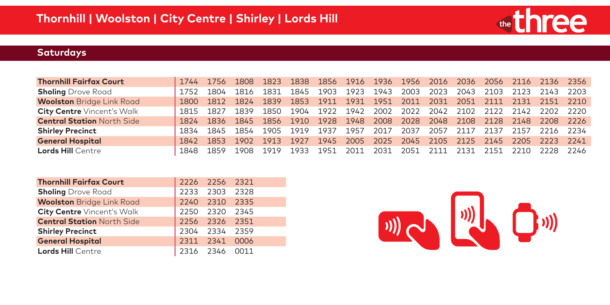

| 1752 | 1804 | 1816      | 1831              | 1845      |                                                               |                      |      |      |      |                                     | 2103         |      |                               |                                                                                                                                                                                                                                                                        |
|------|------|-----------|-------------------|-----------|---------------------------------------------------------------|----------------------|------|------|------|-------------------------------------|--------------|------|-------------------------------|------------------------------------------------------------------------------------------------------------------------------------------------------------------------------------------------------------------------------------------------------------------------|
| 1800 |      |           |                   |           |                                                               |                      |      |      |      |                                     |              |      |                               |                                                                                                                                                                                                                                                                        |
|      |      | 1839      | 1850              |           |                                                               |                      |      |      |      |                                     |              |      |                               |                                                                                                                                                                                                                                                                        |
| 1824 |      |           |                   |           |                                                               |                      |      |      |      |                                     |              |      |                               |                                                                                                                                                                                                                                                                        |
| 1834 |      |           |                   |           | 1937                                                          | 1957                 |      | 2037 |      |                                     | 2137         | 2157 |                               | - 2234                                                                                                                                                                                                                                                                 |
| 1842 | 1853 |           | 1913              |           |                                                               |                      |      |      |      |                                     |              |      |                               | 2241                                                                                                                                                                                                                                                                   |
| 1848 | 1859 | 1908      | 1919              | 1933      | 1951                                                          | 2011                 | 2031 | 2051 |      | 2131                                | 2151         | 2210 | 2228                          | 2246                                                                                                                                                                                                                                                                   |
|      |      | 1815 1827 | 1812 1824<br>1902 | 1845 1854 | 1839 1853<br>1904<br>1836 1845 1856 1910<br>1905 1919<br>1927 | 1903<br>1911<br>1945 | 2005 |      | 2017 | 1923 1943 2003 2023<br>2057<br>2111 | 2043<br>2117 |      | 1931 1951 2011 2031 2051 2111 | 1744 1756 1808 1823 1838 1856 1916 1936 1956 2016 2036 2056 2116 2136 2356<br>2123 2143 2203<br>2131 2151 2210<br>1922 1942 2002 2022 2042 2102 2122 2142 2202 2220<br>1928 1948 2008 2028 2048 2108 2128 2148 2208 2226<br>2216<br>2025 2045 2105 2125 2145 2205 2223 |

| <b>Thornhill Fairfax Court</b>    |      | 2226 2256 2321 |        |
|-----------------------------------|------|----------------|--------|
| <b>Sholing</b> Drove Road         |      | 2233 2303 2328 |        |
| <b>Woolston</b> Bridge Link Road  |      | 2240 2310 2335 |        |
| <b>City Centre Vincent's Walk</b> |      | 2250 2320      | - 2345 |
| <b>Central Station North Side</b> |      | 2256 2326 2351 |        |
| <b>Shirley Precinct</b>           |      | 2304 2334 2359 |        |
| <b>General Hospital</b>           |      | 2311 2341 0006 |        |
| <b>Lords Hill Centre</b>          | 2316 | 2346           |        |

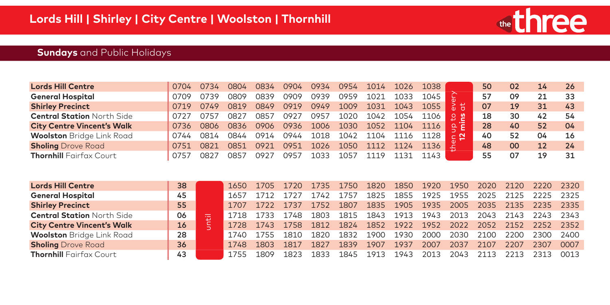

# **Sundays** and Public Holidays

|      |      | 0804 | 0834 | 0904 | 0934 | 0954 | 1014 |      | 1038 |     | 50 | 02 | 14 | 26 |
|------|------|------|------|------|------|------|------|------|------|-----|----|----|----|----|
|      | 0739 | 0809 | 0839 | 0909 | 0939 | 0959 | 1021 |      | 1045 |     | 57 | 09 |    | 33 |
|      | 0749 | 0819 | 0849 | 0919 | 0949 | 1009 | 1031 | 1043 | 1055 | 공 뷰 | 07 | 19 | 31 | 43 |
|      | 0757 | 0827 | 0857 | 0927 | 0957 | 1020 | 1042 | 1054 | 1106 | 99  | 18 | 30 | 42 | 54 |
| 0736 | 0806 | 0836 | 0906 | 0936 | 1006 | 1030 | 1052 | 1104 |      |     | 28 | 40 | 52 | 04 |
| 0744 | 0814 | 0844 | 0914 | 0944 | 1018 | 1042 | 1104 |      |      |     | 40 | 52 | 04 | 16 |
| 0751 | 0821 | 0851 | 0921 | 0951 | 1026 | 1050 |      |      |      |     | 48 | 00 | 12 | 24 |
|      | าควร | 0857 | 092. | N957 | 1033 |      |      |      | 143  |     | 55 | 07 | 19 | 31 |
|      |      |      |      |      |      |      |      |      |      |     |    |    |    |    |

| <b>General Hospital</b>           | 0709 | 0739  | 0809 | 0839 | 0909 | 0939 | 0959 | 1021 | 1033 | 1045 |               | 57   | 09   | 21   | 33   |
|-----------------------------------|------|-------|------|------|------|------|------|------|------|------|---------------|------|------|------|------|
| <b>Shirley Precinct</b>           | 0719 | 0749  | 0819 | 0849 | 0919 | 0949 | 1009 | 1031 | 1043 | 1055 | $\frac{5}{6}$ | 07   | 19   | 31   | 43   |
| <b>Central Station North Side</b> | 0727 | 0757  | 0827 | 0857 | 0927 | 0957 | 1020 | 1042 | 1054 | 1106 | ួ ខ្ន         | 18   | 30   | 42   | 54   |
| <b>City Centre Vincent's Walk</b> | 0736 | 0806  | 0836 | 0906 | 0936 | 1006 | 1030 | 1052 | 1104 | 1116 | 鸟<br>e        | 28   | 40   | 52   | 04   |
| <b>Woolston</b> Bridge Link Road  | 0744 | 0814  | 0844 | 0914 | 0944 | 1018 | 1042 | 1104 | 1116 | 1128 |               | 40   | 52   | 04   | 16   |
| <b>Sholing</b> Drove Road         | 0751 | 0821  | 0851 | 0921 | 0951 | 1026 | 1050 | 1112 | 1124 | 1136 |               | 48   | 00   | 12   | 24   |
| <b>Thornhill</b> Fairfax Court    | 0757 | 0827  | 0857 | 0927 | 0957 | 1033 | 1057 | 1119 | 1131 | 1143 |               | 55   | 07   | 19   | 31   |
|                                   |      |       |      |      |      |      |      |      |      |      |               |      |      |      |      |
|                                   |      |       |      |      |      |      |      |      |      |      |               |      |      |      |      |
| <b>Lords Hill Centre</b>          | 38   |       | 1650 | 1705 | 1720 | 1735 | 1750 | 1820 | 1850 | 1920 | 1950          | 2020 | 2120 | 2220 | 2320 |
| <b>General Hospital</b>           | 45   |       | 1657 | 1712 | 1727 | 1742 | 1757 | 1825 | 1855 | 1925 | 1955          | 2025 | 2125 | 2225 | 2325 |
| <b>Shirley Precinct</b>           | 55   |       | 1707 | 1722 | 1737 | 1752 | 1807 | 1835 | 1905 | 1935 | 2005          | 2035 | 2135 | 2235 | 2335 |
| <b>Central Station North Side</b> | 06   |       | 1718 | 1733 | 1748 | 1803 | 1815 | 1843 | 1913 | 1943 | 2013          | 2043 | 2143 | 2243 | 2343 |
| <b>City Centre Vincent's Walk</b> | 16   | until | 1728 | 1743 | 1758 | 1812 | 1824 | 1852 | 1922 | 1952 | 2022          | 2052 | 2152 | 2252 | 2352 |
| <b>Woolston</b> Bridge Link Road  | 28   |       | 1740 | 1755 | 1810 | 1820 | 1832 | 1900 | 1930 | 2000 | 2030          | 2100 | 2200 | 2300 | 2400 |
| <b>Sholing</b> Drove Road         | 36   |       | 1748 | 1803 | 1817 | 1827 | 1839 | 1907 | 1937 | 2007 | 2037          | 2107 | 2207 | 2307 | 0007 |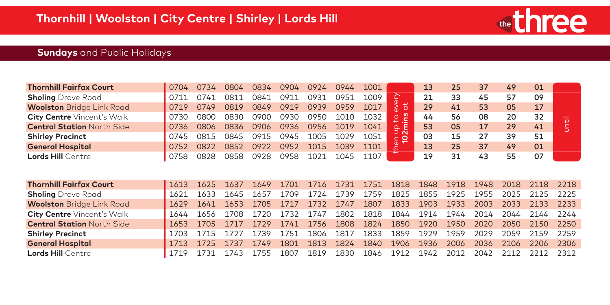

# **Sundays** and Public Holidays

| <b>Thornhill Fairfax Court</b>    | 0704 | 0734 | 0804 | 0834 | 0904 | 0924 | 0944 | 1001 |                            | 13 | 25 | 37 | 49 | 01 |                                    |
|-----------------------------------|------|------|------|------|------|------|------|------|----------------------------|----|----|----|----|----|------------------------------------|
| <b>Sholing</b> Drove Road         |      | 0741 | 0811 | 0841 | 0911 | 0931 | 0951 | 1009 |                            | 21 | 33 | 45 |    | 09 |                                    |
| <b>Woolston</b> Bridge Link Road  | 0719 | 0749 | 0819 | 0849 | 0919 | 0939 | 0959 | 1017 | $\overline{c}$             | 29 | 41 | 53 | 05 |    |                                    |
| <b>City Centre</b> Vincent's Walk | 0730 | 0800 | 0830 | 0900 | 0930 | 0950 | 1010 | 1032 | ற                          | 44 | 56 | 08 | 20 |    | $\overline{\phantom{a}}$<br>$\sim$ |
| <b>Central Station North Side</b> | 0736 | 0806 | 0836 | 0906 | 0936 | 0956 | 1019 | 1041 | ≏ ≏                        | 53 | 05 |    | 29 | 41 |                                    |
| <b>Shirley Precinct</b>           | 0745 | 0815 | 0845 | 0915 | 0945 | 1005 | 1029 | 1051 | א ⊂<br>$\subset$ $\bullet$ | 03 | 15 |    | 39 | 51 |                                    |
| <b>General Hospital</b>           | 0752 | 0822 | 0852 | 0922 | 0952 | 1015 | 1039 | 1101 | $\omega$ $\sim$            | 13 | 25 | 37 | 49 | 01 |                                    |
| <b>Lords Hill Centre</b>          | 0758 | 0828 | า858 | 0928 | 2958 | 102  |      | 1107 |                            | 19 |    | 43 |    | 07 |                                    |

| <b>Sholing</b> Drove Road         | 0711 | 0741 | 0811 | 0841 | 0911 | 0931 | 0951 | 1009 |                            | 21   | 33   | 45   | 57   | 09   |      |
|-----------------------------------|------|------|------|------|------|------|------|------|----------------------------|------|------|------|------|------|------|
| <b>Woolston</b> Bridge Link Road  | 0719 | 0749 | 0819 | 0849 | 0919 | 0939 | 0959 | 1017 | $\ddot{\sigma}$<br>⋝<br>'n | 29   | 41   | 53   | 05   | 17   |      |
| <b>City Centre Vincent's Walk</b> | 0730 | 0800 | 0830 | 0900 | 0930 | 0950 | 1010 | 1032 | 2<br>£.                    | 44   | 56   | 08   | 20   | 32   | 节    |
| <b>Central Station North Side</b> | 0736 | 0806 | 0836 | 0906 | 0936 | 0956 | 1019 | 1041 | ൨                          | 53   | 05   | 17   | 29   | 41   |      |
| <b>Shirley Precinct</b>           | 0745 | 0815 | 0845 | 0915 | 0945 | 1005 | 1029 | 1051 | ∍ ๙<br>$\subset$ $\circ$   | 03   | 15   | 27   | 39   | 51   |      |
| <b>General Hospital</b>           | 0752 | 0822 | 0852 | 0922 | 0952 | 1015 | 1039 | 1101 | $2^{\circ}$                | 13   | 25   | 37   | 49   | 01   |      |
| <b>Lords Hill Centre</b>          | 0758 | 0828 | 0858 | 0928 | 0958 | 1021 | 1045 | 1107 |                            | 19   | 31   | 43   | 55   | 07   |      |
|                                   |      |      |      |      |      |      |      |      |                            |      |      |      |      |      |      |
| <b>Thornhill Fairfax Court</b>    | 1613 | 1625 | 1637 | 1649 | 1701 | 1716 | 1731 | 1751 | 1818                       | 1848 | 1918 | 1948 | 2018 | 2118 | 2218 |
| <b>Sholing</b> Drove Road         | 1621 | 1633 | 1645 | 1657 | 1709 | 1724 | 1739 | 1759 | 1825                       | 1855 | 1925 | 1955 | 2025 | 2125 | 2225 |
| <b>Woolston</b> Bridge Link Road  | 1629 | 1641 | 1653 | 1705 | 1717 | 1732 | 1747 | 1807 | 1833                       | 1903 | 1933 | 2003 | 2033 | 2133 | 2233 |
| <b>City Centre</b> Vincent's Walk | 1644 | 1656 | 1708 | 1720 | 1732 | 1747 | 1802 | 1818 | 1844                       | 1914 | 1944 | 2014 | 2044 | 2144 | 2244 |
| <b>Central Station North Side</b> | 1653 | 1705 | 1717 | 1729 | 1741 | 1756 | 1808 | 1824 | 1850                       | 1920 | 1950 | 2020 | 2050 | 2150 | 2250 |
| <b>Shirley Precinct</b>           | 1703 | 1715 | 1727 | 1739 | 1751 | 1806 | 1817 | 1833 | 1859                       | 1929 | 1959 | 2029 | 2059 | 2159 | 2259 |
| <b>General Hospital</b>           | 1713 | 1725 | 1737 | 1749 | 1801 | 1813 | 1824 | 1840 | 1906                       | 1936 | 2006 | 2036 | 2106 | 2206 | 2306 |
| <b>Lords Hill Centre</b>          | 1719 | 1731 | 1743 | 1755 | 1807 | 1819 | 1830 | 1846 | 1912                       | 1942 | 2012 | 2042 | 2112 | 2212 | 2312 |